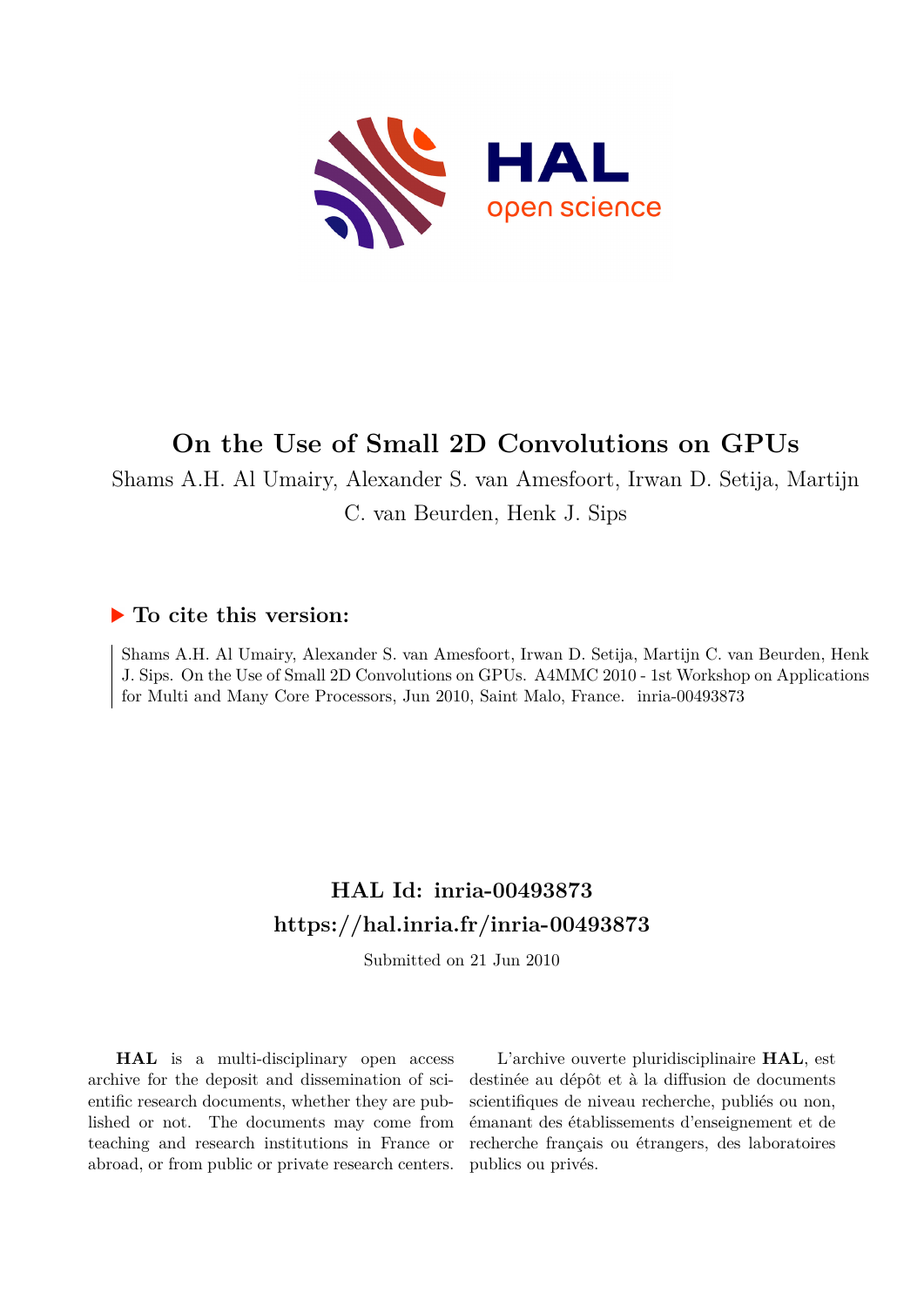

# **On the Use of Small 2D Convolutions on GPUs**

Shams A.H. Al Umairy, Alexander S. van Amesfoort, Irwan D. Setija, Martijn

C. van Beurden, Henk J. Sips

# **To cite this version:**

Shams A.H. Al Umairy, Alexander S. van Amesfoort, Irwan D. Setija, Martijn C. van Beurden, Henk J. Sips. On the Use of Small 2D Convolutions on GPUs. A4MMC 2010 - 1st Workshop on Applications for Multi and Many Core Processors, Jun 2010, Saint Malo, France. inria-00493873

# **HAL Id: inria-00493873 <https://hal.inria.fr/inria-00493873>**

Submitted on 21 Jun 2010

**HAL** is a multi-disciplinary open access archive for the deposit and dissemination of scientific research documents, whether they are published or not. The documents may come from teaching and research institutions in France or abroad, or from public or private research centers.

L'archive ouverte pluridisciplinaire **HAL**, est destinée au dépôt et à la diffusion de documents scientifiques de niveau recherche, publiés ou non, émanant des établissements d'enseignement et de recherche français ou étrangers, des laboratoires publics ou privés.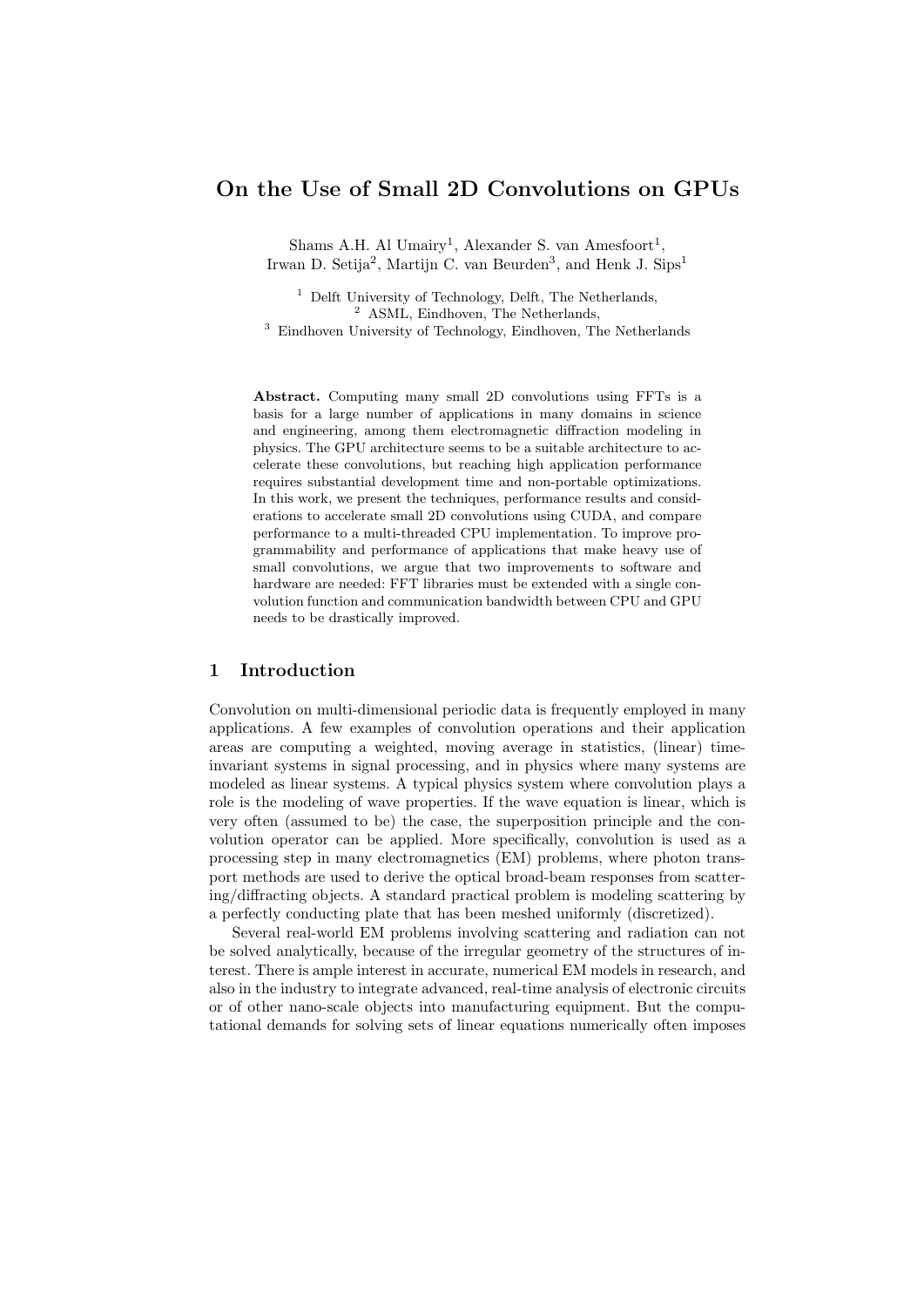# On the Use of Small 2D Convolutions on GPUs

Shams A.H. Al Umairy<sup>1</sup>, Alexander S. van Amesfoort<sup>1</sup>, Irwan D. Setija<sup>2</sup>, Martijn C. van Beurden<sup>3</sup>, and Henk J. Sips<sup>1</sup>

<sup>1</sup> Delft University of Technology, Delft, The Netherlands, <sup>2</sup> ASML, Eindhoven, The Netherlands,

<sup>3</sup> Eindhoven University of Technology, Eindhoven, The Netherlands

Abstract. Computing many small 2D convolutions using FFTs is a basis for a large number of applications in many domains in science and engineering, among them electromagnetic diffraction modeling in physics. The GPU architecture seems to be a suitable architecture to accelerate these convolutions, but reaching high application performance requires substantial development time and non-portable optimizations. In this work, we present the techniques, performance results and considerations to accelerate small 2D convolutions using CUDA, and compare performance to a multi-threaded CPU implementation. To improve programmability and performance of applications that make heavy use of small convolutions, we argue that two improvements to software and hardware are needed: FFT libraries must be extended with a single convolution function and communication bandwidth between CPU and GPU needs to be drastically improved.

### 1 Introduction

Convolution on multi-dimensional periodic data is frequently employed in many applications. A few examples of convolution operations and their application areas are computing a weighted, moving average in statistics, (linear) timeinvariant systems in signal processing, and in physics where many systems are modeled as linear systems. A typical physics system where convolution plays a role is the modeling of wave properties. If the wave equation is linear, which is very often (assumed to be) the case, the superposition principle and the convolution operator can be applied. More specifically, convolution is used as a processing step in many electromagnetics (EM) problems, where photon transport methods are used to derive the optical broad-beam responses from scattering/diffracting objects. A standard practical problem is modeling scattering by a perfectly conducting plate that has been meshed uniformly (discretized).

Several real-world EM problems involving scattering and radiation can not be solved analytically, because of the irregular geometry of the structures of interest. There is ample interest in accurate, numerical EM models in research, and also in the industry to integrate advanced, real-time analysis of electronic circuits or of other nano-scale objects into manufacturing equipment. But the computational demands for solving sets of linear equations numerically often imposes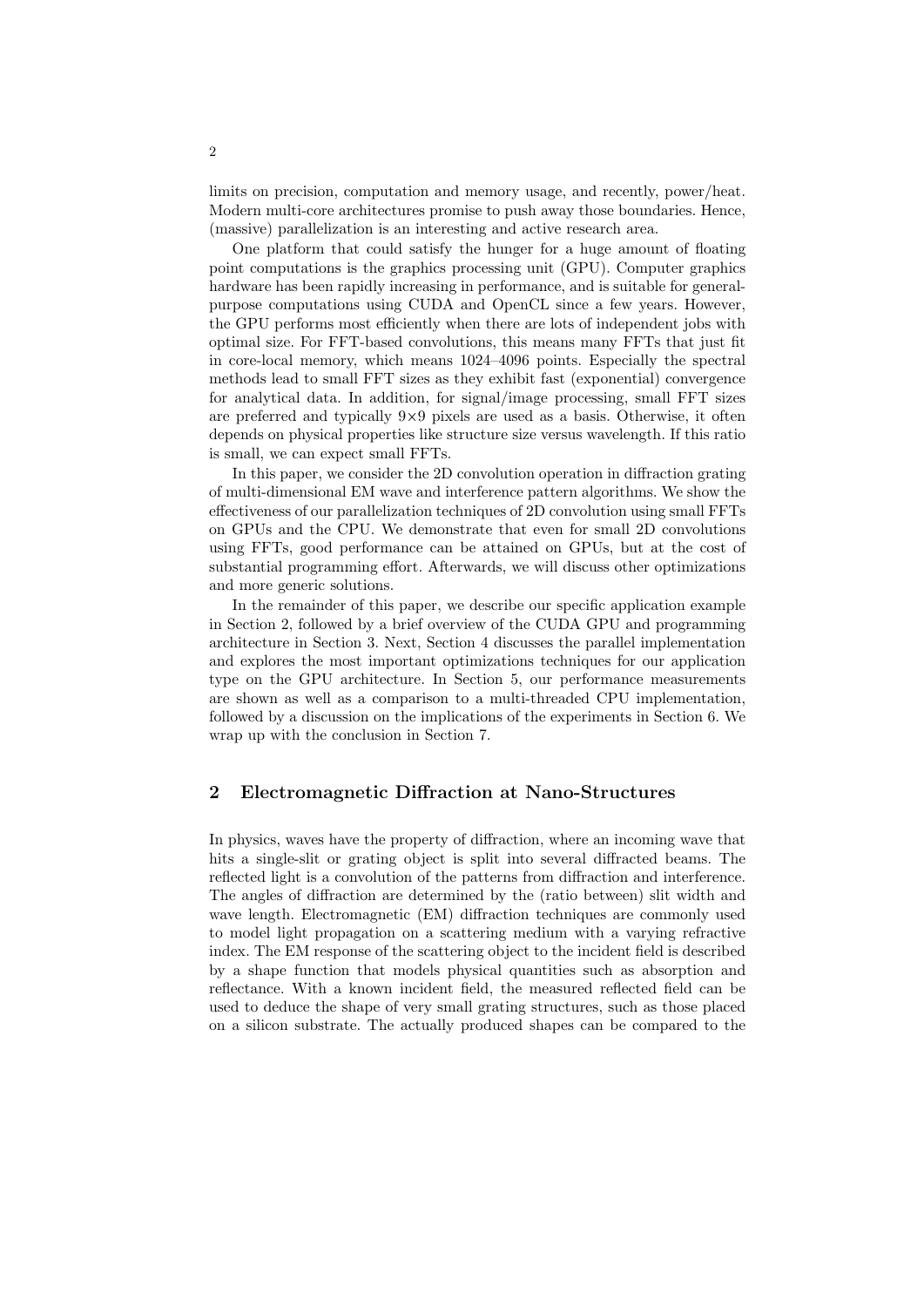limits on precision, computation and memory usage, and recently, power/heat. Modern multi-core architectures promise to push away those boundaries. Hence, (massive) parallelization is an interesting and active research area.

One platform that could satisfy the hunger for a huge amount of floating point computations is the graphics processing unit (GPU). Computer graphics hardware has been rapidly increasing in performance, and is suitable for generalpurpose computations using CUDA and OpenCL since a few years. However, the GPU performs most efficiently when there are lots of independent jobs with optimal size. For FFT-based convolutions, this means many FFTs that just fit in core-local memory, which means 1024–4096 points. Especially the spectral methods lead to small FFT sizes as they exhibit fast (exponential) convergence for analytical data. In addition, for signal/image processing, small FFT sizes are preferred and typically  $9\times9$  pixels are used as a basis. Otherwise, it often depends on physical properties like structure size versus wavelength. If this ratio is small, we can expect small FFTs.

In this paper, we consider the 2D convolution operation in diffraction grating of multi-dimensional EM wave and interference pattern algorithms. We show the effectiveness of our parallelization techniques of 2D convolution using small FFTs on GPUs and the CPU. We demonstrate that even for small 2D convolutions using FFTs, good performance can be attained on GPUs, but at the cost of substantial programming effort. Afterwards, we will discuss other optimizations and more generic solutions.

In the remainder of this paper, we describe our specific application example in Section 2, followed by a brief overview of the CUDA GPU and programming architecture in Section 3. Next, Section 4 discusses the parallel implementation and explores the most important optimizations techniques for our application type on the GPU architecture. In Section 5, our performance measurements are shown as well as a comparison to a multi-threaded CPU implementation, followed by a discussion on the implications of the experiments in Section 6. We wrap up with the conclusion in Section 7.

# 2 Electromagnetic Diffraction at Nano-Structures

In physics, waves have the property of diffraction, where an incoming wave that hits a single-slit or grating object is split into several diffracted beams. The reflected light is a convolution of the patterns from diffraction and interference. The angles of diffraction are determined by the (ratio between) slit width and wave length. Electromagnetic (EM) diffraction techniques are commonly used to model light propagation on a scattering medium with a varying refractive index. The EM response of the scattering object to the incident field is described by a shape function that models physical quantities such as absorption and reflectance. With a known incident field, the measured reflected field can be used to deduce the shape of very small grating structures, such as those placed on a silicon substrate. The actually produced shapes can be compared to the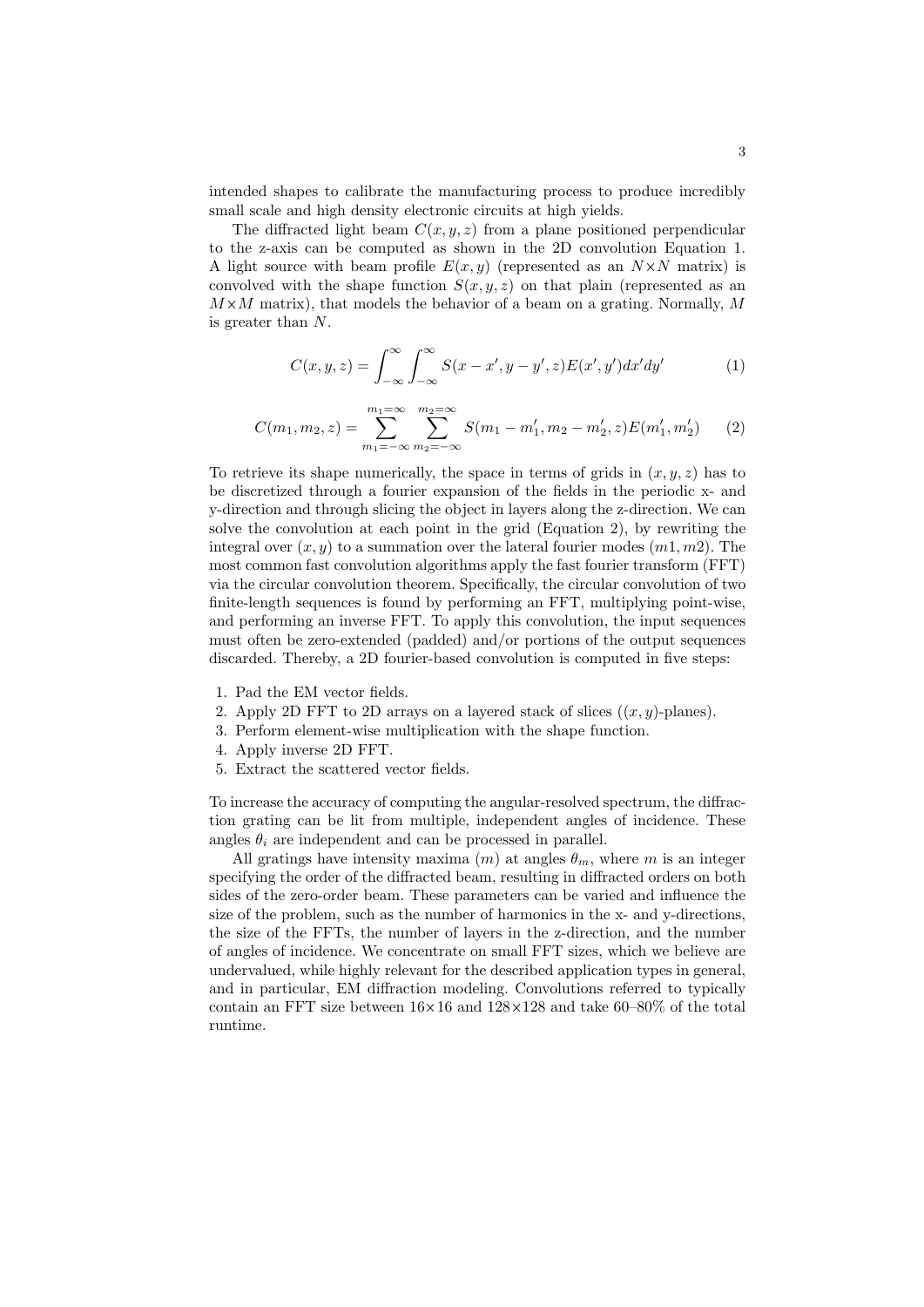intended shapes to calibrate the manufacturing process to produce incredibly small scale and high density electronic circuits at high yields.

The diffracted light beam  $C(x, y, z)$  from a plane positioned perpendicular to the z-axis can be computed as shown in the 2D convolution Equation 1. A light source with beam profile  $E(x, y)$  (represented as an  $N \times N$  matrix) is convolved with the shape function  $S(x, y, z)$  on that plain (represented as an  $M\times M$  matrix), that models the behavior of a beam on a grating. Normally, M is greater than N.

$$
C(x, y, z) = \int_{-\infty}^{\infty} \int_{-\infty}^{\infty} S(x - x', y - y', z) E(x', y') dx' dy'
$$
 (1)

$$
C(m_1, m_2, z) = \sum_{m_1 = -\infty}^{m_1 = \infty} \sum_{m_2 = -\infty}^{m_2 = \infty} S(m_1 - m_1', m_2 - m_2', z) E(m_1', m_2') \tag{2}
$$

To retrieve its shape numerically, the space in terms of grids in  $(x, y, z)$  has to be discretized through a fourier expansion of the fields in the periodic x- and y-direction and through slicing the object in layers along the z-direction. We can solve the convolution at each point in the grid (Equation 2), by rewriting the integral over  $(x, y)$  to a summation over the lateral fourier modes  $(m1, m2)$ . The most common fast convolution algorithms apply the fast fourier transform (FFT) via the circular convolution theorem. Specifically, the circular convolution of two finite-length sequences is found by performing an FFT, multiplying point-wise, and performing an inverse FFT. To apply this convolution, the input sequences must often be zero-extended (padded) and/or portions of the output sequences discarded. Thereby, a 2D fourier-based convolution is computed in five steps:

- 1. Pad the EM vector fields.
- 2. Apply 2D FFT to 2D arrays on a layered stack of slices  $((x, y)$ -planes).
- 3. Perform element-wise multiplication with the shape function.
- 4. Apply inverse 2D FFT.
- 5. Extract the scattered vector fields.

To increase the accuracy of computing the angular-resolved spectrum, the diffraction grating can be lit from multiple, independent angles of incidence. These angles  $\theta_i$  are independent and can be processed in parallel.

All gratings have intensity maxima  $(m)$  at angles  $\theta_m$ , where m is an integer specifying the order of the diffracted beam, resulting in diffracted orders on both sides of the zero-order beam. These parameters can be varied and influence the size of the problem, such as the number of harmonics in the x- and y-directions, the size of the FFTs, the number of layers in the z-direction, and the number of angles of incidence. We concentrate on small FFT sizes, which we believe are undervalued, while highly relevant for the described application types in general, and in particular, EM diffraction modeling. Convolutions referred to typically contain an FFT size between  $16\times16$  and  $128\times128$  and take 60–80% of the total runtime.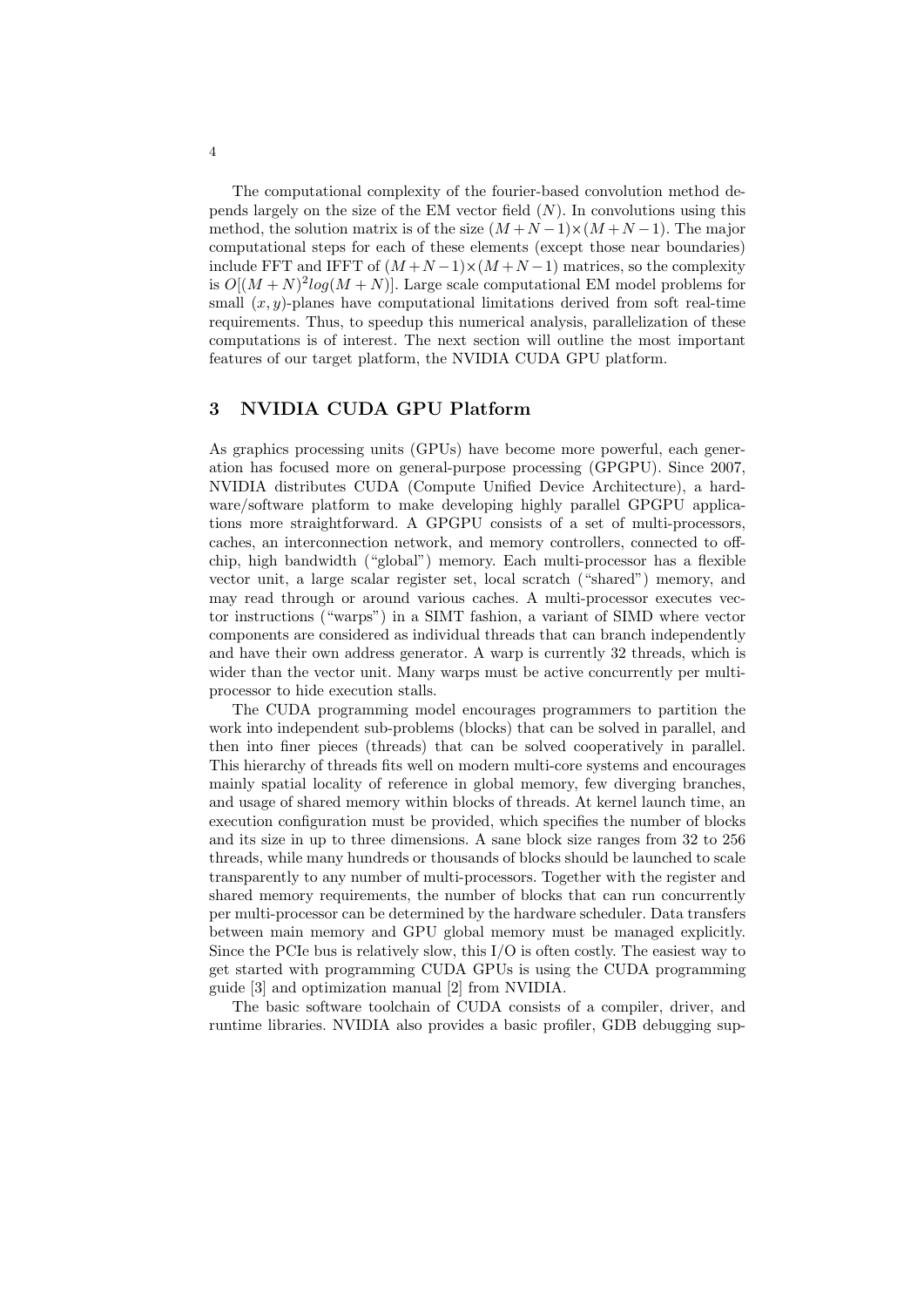The computational complexity of the fourier-based convolution method depends largely on the size of the EM vector field  $(N)$ . In convolutions using this method, the solution matrix is of the size  $(M + N - 1) \times (M + N - 1)$ . The major computational steps for each of these elements (except those near boundaries) include FFT and IFFT of  $(M + N - 1) \times (M + N - 1)$  matrices, so the complexity is  $O[(M+N)^2 log(M+N)]$ . Large scale computational EM model problems for small  $(x, y)$ -planes have computational limitations derived from soft real-time requirements. Thus, to speedup this numerical analysis, parallelization of these computations is of interest. The next section will outline the most important features of our target platform, the NVIDIA CUDA GPU platform.

# 3 NVIDIA CUDA GPU Platform

As graphics processing units (GPUs) have become more powerful, each generation has focused more on general-purpose processing (GPGPU). Since 2007, NVIDIA distributes CUDA (Compute Unified Device Architecture), a hardware/software platform to make developing highly parallel GPGPU applications more straightforward. A GPGPU consists of a set of multi-processors, caches, an interconnection network, and memory controllers, connected to offchip, high bandwidth ("global") memory. Each multi-processor has a flexible vector unit, a large scalar register set, local scratch ("shared") memory, and may read through or around various caches. A multi-processor executes vector instructions ("warps") in a SIMT fashion, a variant of SIMD where vector components are considered as individual threads that can branch independently and have their own address generator. A warp is currently 32 threads, which is wider than the vector unit. Many warps must be active concurrently per multiprocessor to hide execution stalls.

The CUDA programming model encourages programmers to partition the work into independent sub-problems (blocks) that can be solved in parallel, and then into finer pieces (threads) that can be solved cooperatively in parallel. This hierarchy of threads fits well on modern multi-core systems and encourages mainly spatial locality of reference in global memory, few diverging branches, and usage of shared memory within blocks of threads. At kernel launch time, an execution configuration must be provided, which specifies the number of blocks and its size in up to three dimensions. A sane block size ranges from 32 to 256 threads, while many hundreds or thousands of blocks should be launched to scale transparently to any number of multi-processors. Together with the register and shared memory requirements, the number of blocks that can run concurrently per multi-processor can be determined by the hardware scheduler. Data transfers between main memory and GPU global memory must be managed explicitly. Since the PCIe bus is relatively slow, this I/O is often costly. The easiest way to get started with programming CUDA GPUs is using the CUDA programming guide [3] and optimization manual [2] from NVIDIA.

The basic software toolchain of CUDA consists of a compiler, driver, and runtime libraries. NVIDIA also provides a basic profiler, GDB debugging sup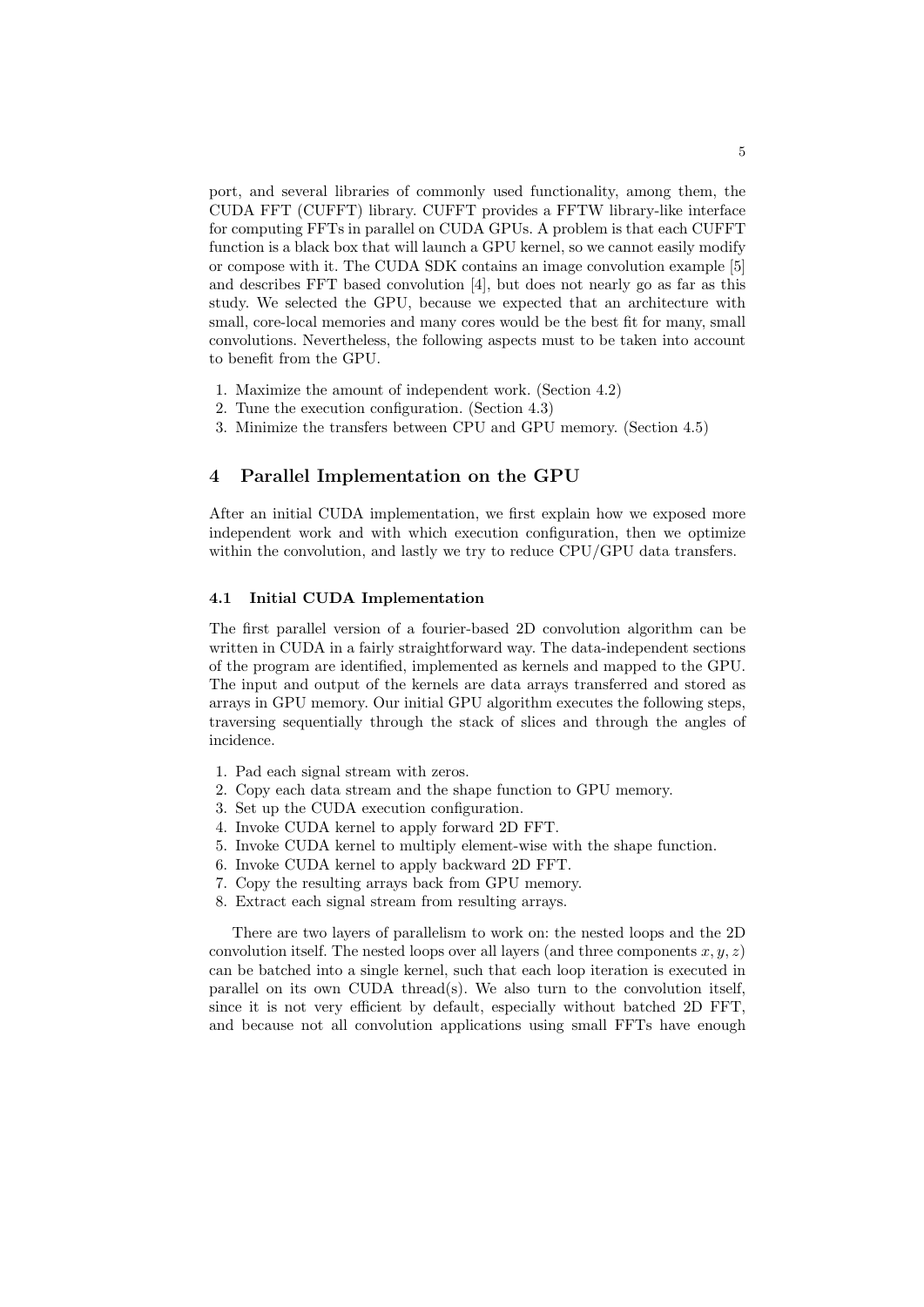port, and several libraries of commonly used functionality, among them, the CUDA FFT (CUFFT) library. CUFFT provides a FFTW library-like interface for computing FFTs in parallel on CUDA GPUs. A problem is that each CUFFT function is a black box that will launch a GPU kernel, so we cannot easily modify or compose with it. The CUDA SDK contains an image convolution example [5] and describes FFT based convolution [4], but does not nearly go as far as this study. We selected the GPU, because we expected that an architecture with small, core-local memories and many cores would be the best fit for many, small convolutions. Nevertheless, the following aspects must to be taken into account to benefit from the GPU.

- 1. Maximize the amount of independent work. (Section 4.2)
- 2. Tune the execution configuration. (Section 4.3)
- 3. Minimize the transfers between CPU and GPU memory. (Section 4.5)

# 4 Parallel Implementation on the GPU

After an initial CUDA implementation, we first explain how we exposed more independent work and with which execution configuration, then we optimize within the convolution, and lastly we try to reduce CPU/GPU data transfers.

#### 4.1 Initial CUDA Implementation

The first parallel version of a fourier-based 2D convolution algorithm can be written in CUDA in a fairly straightforward way. The data-independent sections of the program are identified, implemented as kernels and mapped to the GPU. The input and output of the kernels are data arrays transferred and stored as arrays in GPU memory. Our initial GPU algorithm executes the following steps, traversing sequentially through the stack of slices and through the angles of incidence.

- 1. Pad each signal stream with zeros.
- 2. Copy each data stream and the shape function to GPU memory.
- 3. Set up the CUDA execution configuration.
- 4. Invoke CUDA kernel to apply forward 2D FFT.
- 5. Invoke CUDA kernel to multiply element-wise with the shape function.
- 6. Invoke CUDA kernel to apply backward 2D FFT.
- 7. Copy the resulting arrays back from GPU memory.
- 8. Extract each signal stream from resulting arrays.

There are two layers of parallelism to work on: the nested loops and the 2D convolution itself. The nested loops over all layers (and three components  $x, y, z$ ) can be batched into a single kernel, such that each loop iteration is executed in parallel on its own CUDA thread(s). We also turn to the convolution itself, since it is not very efficient by default, especially without batched 2D FFT, and because not all convolution applications using small FFTs have enough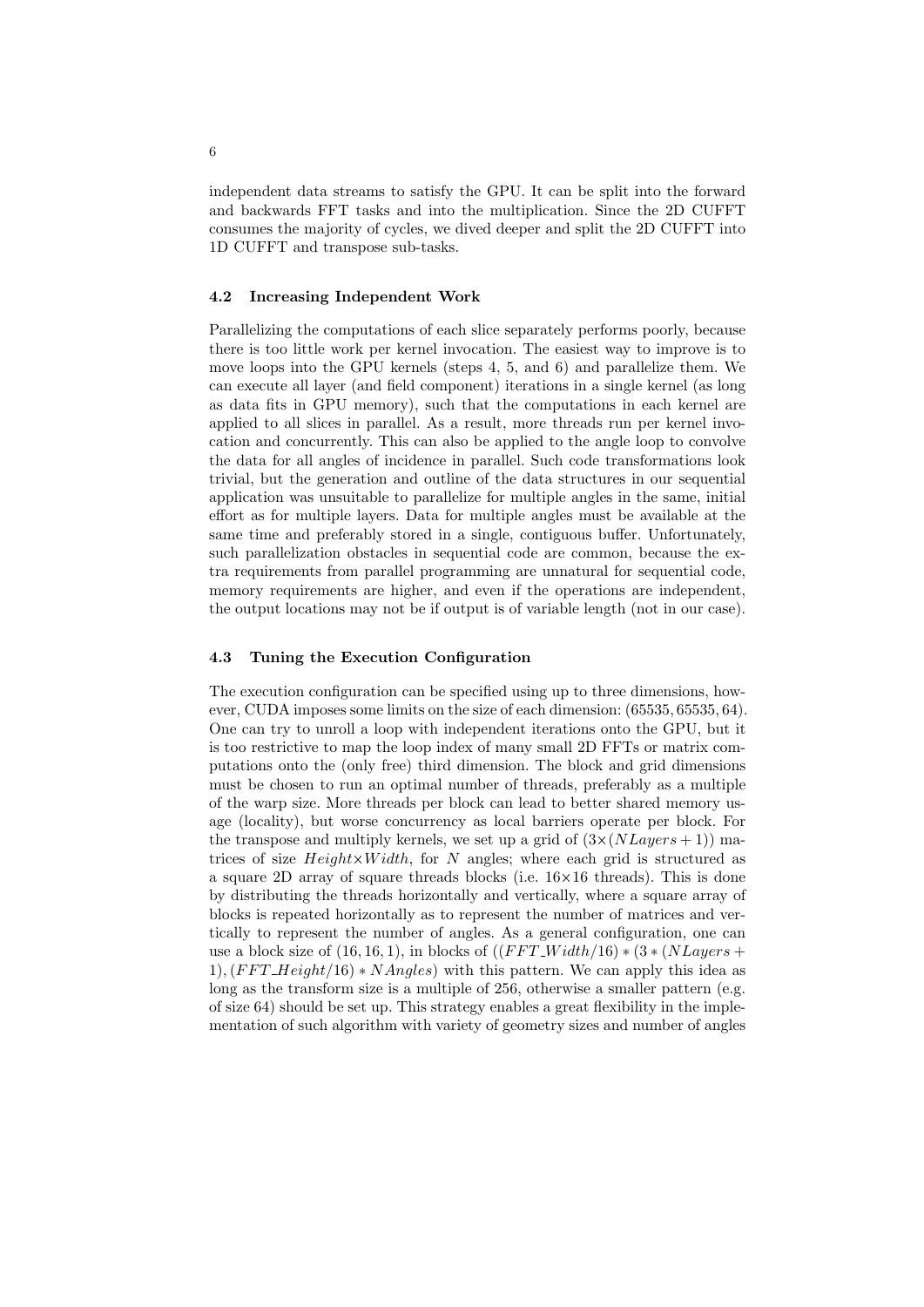independent data streams to satisfy the GPU. It can be split into the forward and backwards FFT tasks and into the multiplication. Since the 2D CUFFT consumes the majority of cycles, we dived deeper and split the 2D CUFFT into 1D CUFFT and transpose sub-tasks.

#### 4.2 Increasing Independent Work

Parallelizing the computations of each slice separately performs poorly, because there is too little work per kernel invocation. The easiest way to improve is to move loops into the GPU kernels (steps 4, 5, and 6) and parallelize them. We can execute all layer (and field component) iterations in a single kernel (as long as data fits in GPU memory), such that the computations in each kernel are applied to all slices in parallel. As a result, more threads run per kernel invocation and concurrently. This can also be applied to the angle loop to convolve the data for all angles of incidence in parallel. Such code transformations look trivial, but the generation and outline of the data structures in our sequential application was unsuitable to parallelize for multiple angles in the same, initial effort as for multiple layers. Data for multiple angles must be available at the same time and preferably stored in a single, contiguous buffer. Unfortunately, such parallelization obstacles in sequential code are common, because the extra requirements from parallel programming are unnatural for sequential code, memory requirements are higher, and even if the operations are independent, the output locations may not be if output is of variable length (not in our case).

#### 4.3 Tuning the Execution Configuration

The execution configuration can be specified using up to three dimensions, however, CUDA imposes some limits on the size of each dimension: (65535, 65535, 64). One can try to unroll a loop with independent iterations onto the GPU, but it is too restrictive to map the loop index of many small 2D FFTs or matrix computations onto the (only free) third dimension. The block and grid dimensions must be chosen to run an optimal number of threads, preferably as a multiple of the warp size. More threads per block can lead to better shared memory usage (locality), but worse concurrency as local barriers operate per block. For the transpose and multiply kernels, we set up a grid of  $(3\times(NLayers + 1))$  matrices of size  $Height \times Width$ , for N angles; where each grid is structured as a square 2D array of square threads blocks (i.e.  $16\times16$  threads). This is done by distributing the threads horizontally and vertically, where a square array of blocks is repeated horizontally as to represent the number of matrices and vertically to represent the number of angles. As a general configuration, one can use a block size of  $(16, 16, 1)$ , in blocks of  $((FFT\_Width/16) * (3 * (NLayers +$ 1),  $(FFT \text{Height}/16) * \text{NAngles}$  with this pattern. We can apply this idea as long as the transform size is a multiple of 256, otherwise a smaller pattern (e.g. of size 64) should be set up. This strategy enables a great flexibility in the implementation of such algorithm with variety of geometry sizes and number of angles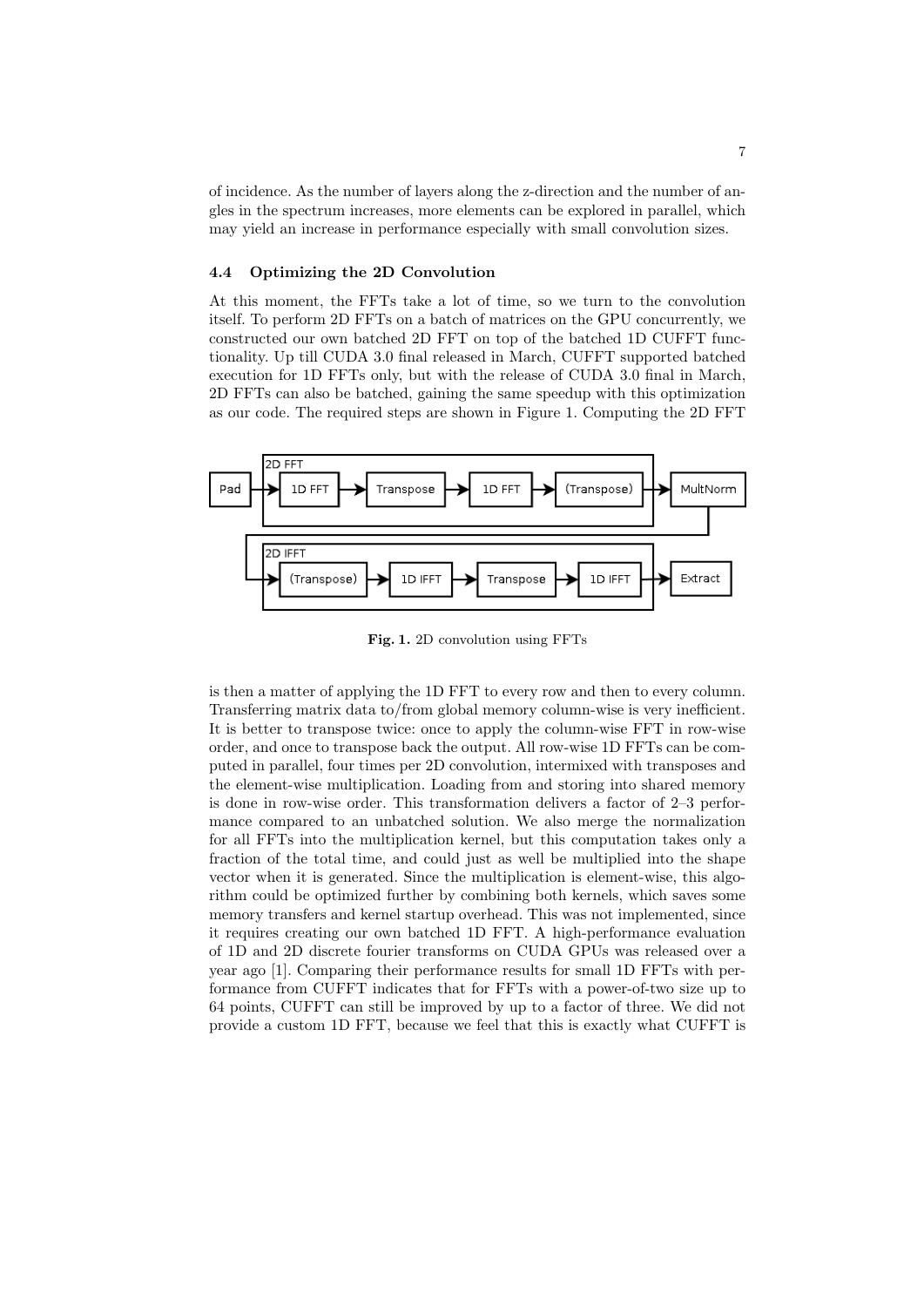of incidence. As the number of layers along the z-direction and the number of angles in the spectrum increases, more elements can be explored in parallel, which may yield an increase in performance especially with small convolution sizes.

#### 4.4 Optimizing the 2D Convolution

At this moment, the FFTs take a lot of time, so we turn to the convolution itself. To perform 2D FFTs on a batch of matrices on the GPU concurrently, we constructed our own batched 2D FFT on top of the batched 1D CUFFT functionality. Up till CUDA 3.0 final released in March, CUFFT supported batched execution for 1D FFTs only, but with the release of CUDA 3.0 final in March, 2D FFTs can also be batched, gaining the same speedup with this optimization as our code. The required steps are shown in Figure 1. Computing the 2D FFT



Fig. 1. 2D convolution using FFTs

is then a matter of applying the 1D FFT to every row and then to every column. Transferring matrix data to/from global memory column-wise is very inefficient. It is better to transpose twice: once to apply the column-wise FFT in row-wise order, and once to transpose back the output. All row-wise 1D FFTs can be computed in parallel, four times per 2D convolution, intermixed with transposes and the element-wise multiplication. Loading from and storing into shared memory is done in row-wise order. This transformation delivers a factor of 2–3 performance compared to an unbatched solution. We also merge the normalization for all FFTs into the multiplication kernel, but this computation takes only a fraction of the total time, and could just as well be multiplied into the shape vector when it is generated. Since the multiplication is element-wise, this algorithm could be optimized further by combining both kernels, which saves some memory transfers and kernel startup overhead. This was not implemented, since it requires creating our own batched 1D FFT. A high-performance evaluation of 1D and 2D discrete fourier transforms on CUDA GPUs was released over a year ago [1]. Comparing their performance results for small 1D FFTs with performance from CUFFT indicates that for FFTs with a power-of-two size up to 64 points, CUFFT can still be improved by up to a factor of three. We did not provide a custom 1D FFT, because we feel that this is exactly what CUFFT is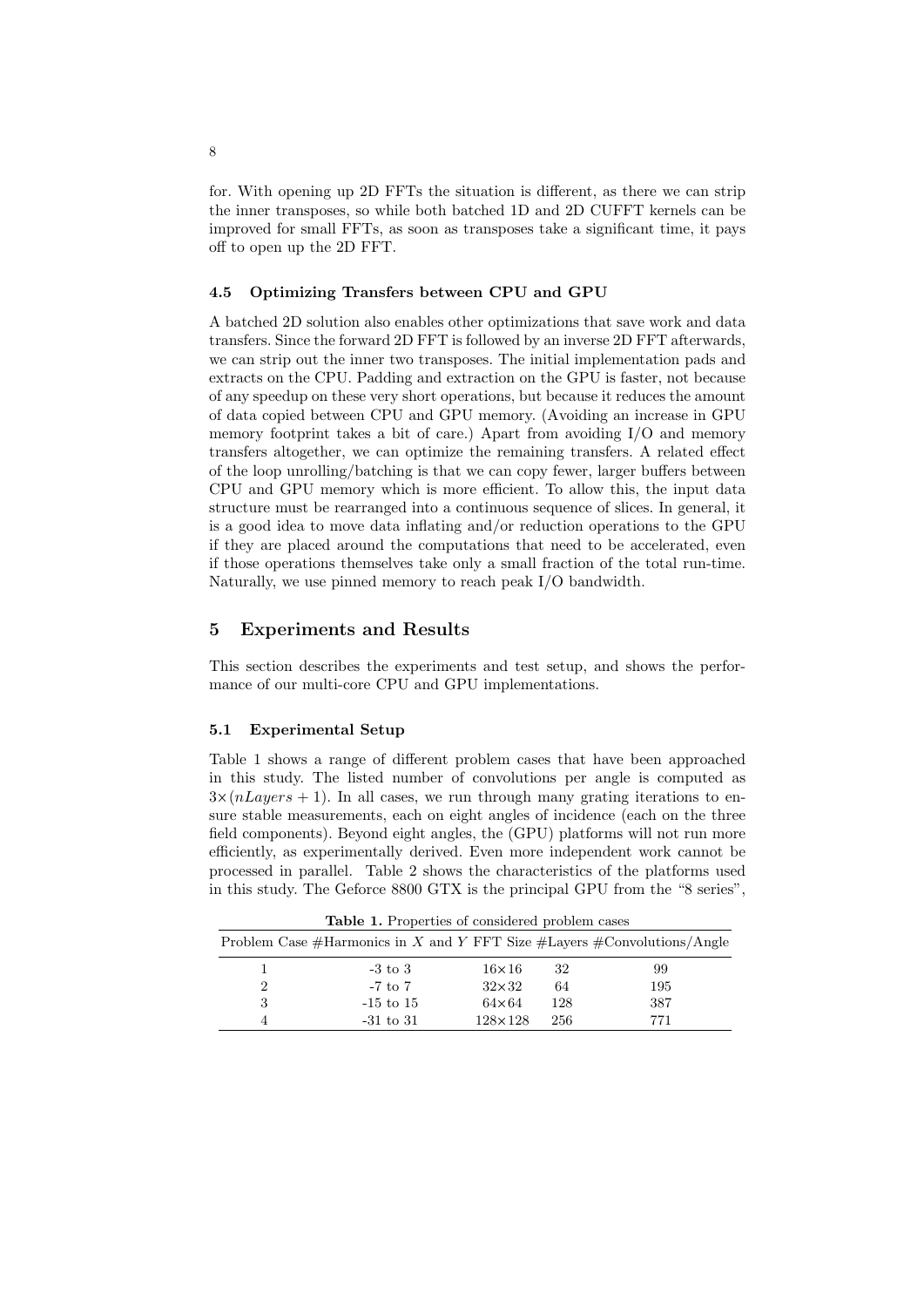for. With opening up 2D FFTs the situation is different, as there we can strip the inner transposes, so while both batched 1D and 2D CUFFT kernels can be improved for small FFTs, as soon as transposes take a significant time, it pays off to open up the 2D FFT.

#### 4.5 Optimizing Transfers between CPU and GPU

A batched 2D solution also enables other optimizations that save work and data transfers. Since the forward 2D FFT is followed by an inverse 2D FFT afterwards, we can strip out the inner two transposes. The initial implementation pads and extracts on the CPU. Padding and extraction on the GPU is faster, not because of any speedup on these very short operations, but because it reduces the amount of data copied between CPU and GPU memory. (Avoiding an increase in GPU memory footprint takes a bit of care.) Apart from avoiding I/O and memory transfers altogether, we can optimize the remaining transfers. A related effect of the loop unrolling/batching is that we can copy fewer, larger buffers between CPU and GPU memory which is more efficient. To allow this, the input data structure must be rearranged into a continuous sequence of slices. In general, it is a good idea to move data inflating and/or reduction operations to the GPU if they are placed around the computations that need to be accelerated, even if those operations themselves take only a small fraction of the total run-time. Naturally, we use pinned memory to reach peak I/O bandwidth.

#### 5 Experiments and Results

This section describes the experiments and test setup, and shows the performance of our multi-core CPU and GPU implementations.

#### 5.1 Experimental Setup

Table 1 shows a range of different problem cases that have been approached in this study. The listed number of convolutions per angle is computed as  $3\times(nLayers + 1)$ . In all cases, we run through many grating iterations to ensure stable measurements, each on eight angles of incidence (each on the three field components). Beyond eight angles, the (GPU) platforms will not run more efficiently, as experimentally derived. Even more independent work cannot be processed in parallel. Table 2 shows the characteristics of the platforms used in this study. The Geforce 8800 GTX is the principal GPU from the "8 series",

| <b>Table 1.</b> Properties of considered problem cases |                                                                         |                |     |     |  |  |  |  |  |
|--------------------------------------------------------|-------------------------------------------------------------------------|----------------|-----|-----|--|--|--|--|--|
|                                                        | Problem Case #Harmonics in X and Y FFT Size #Layers #Convolutions/Angle |                |     |     |  |  |  |  |  |
|                                                        | $-3$ to $3$                                                             | $16\times16$   | 32  | 99  |  |  |  |  |  |
| 2                                                      | $-7$ to $7$                                                             | $32\times32$   | 64  | 195 |  |  |  |  |  |
| 3                                                      | $-15$ to $15$                                                           | $64\times64$   | 128 | 387 |  |  |  |  |  |
| 4                                                      | $-31$ to $31$                                                           | $128\times128$ | 256 | 771 |  |  |  |  |  |

Table 1. Properties of considered problem cases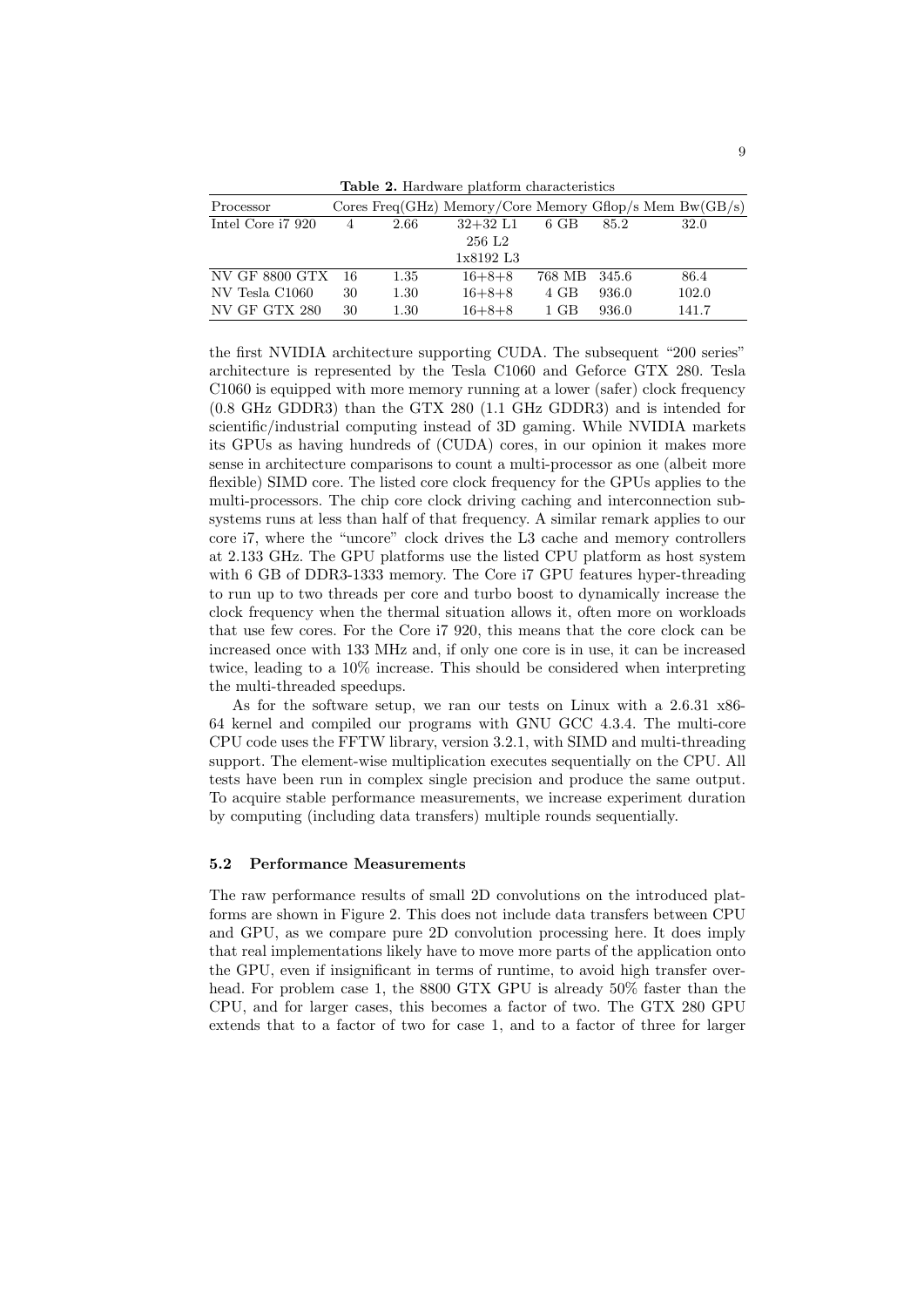| <b>Table 2.</b> Hardware platform characteristics |    |      |                    |        |        |                                                           |  |  |  |
|---------------------------------------------------|----|------|--------------------|--------|--------|-----------------------------------------------------------|--|--|--|
| Processor                                         |    |      |                    |        |        | Cores Freq(GHz) Memory/Core Memory Gflop/s Mem $Bw(GB/s)$ |  |  |  |
| Intel Core i7 920                                 | 4  | 2.66 | $32 + 32$ L1       | 6 GB   | 85.2   | 32.0                                                      |  |  |  |
|                                                   |    |      | 256 L <sub>2</sub> |        |        |                                                           |  |  |  |
|                                                   |    |      | 1x8192 L3          |        |        |                                                           |  |  |  |
| NV GF 8800 GTX                                    | 16 | 1.35 | $16 + 8 + 8$       | 768 MB | -345.6 | 86.4                                                      |  |  |  |
| NV Tesla C1060                                    | 30 | 1.30 | $16 + 8 + 8$       | 4 GB   | 936.0  | 102.0                                                     |  |  |  |
| NV GF GTX 280                                     | 30 | 1.30 | $16 + 8 + 8$       | $1$ GB | 936.0  | 141.7                                                     |  |  |  |

Table 2. Hardware platform characteristics

the first NVIDIA architecture supporting CUDA. The subsequent "200 series" architecture is represented by the Tesla C1060 and Geforce GTX 280. Tesla C1060 is equipped with more memory running at a lower (safer) clock frequency (0.8 GHz GDDR3) than the GTX 280 (1.1 GHz GDDR3) and is intended for scientific/industrial computing instead of 3D gaming. While NVIDIA markets its GPUs as having hundreds of (CUDA) cores, in our opinion it makes more sense in architecture comparisons to count a multi-processor as one (albeit more flexible) SIMD core. The listed core clock frequency for the GPUs applies to the multi-processors. The chip core clock driving caching and interconnection subsystems runs at less than half of that frequency. A similar remark applies to our core i7, where the "uncore" clock drives the L3 cache and memory controllers at 2.133 GHz. The GPU platforms use the listed CPU platform as host system with 6 GB of DDR3-1333 memory. The Core i7 GPU features hyper-threading to run up to two threads per core and turbo boost to dynamically increase the clock frequency when the thermal situation allows it, often more on workloads that use few cores. For the Core i7 920, this means that the core clock can be increased once with 133 MHz and, if only one core is in use, it can be increased twice, leading to a 10% increase. This should be considered when interpreting the multi-threaded speedups.

As for the software setup, we ran our tests on Linux with a 2.6.31 x86- 64 kernel and compiled our programs with GNU GCC 4.3.4. The multi-core CPU code uses the FFTW library, version 3.2.1, with SIMD and multi-threading support. The element-wise multiplication executes sequentially on the CPU. All tests have been run in complex single precision and produce the same output. To acquire stable performance measurements, we increase experiment duration by computing (including data transfers) multiple rounds sequentially.

#### 5.2 Performance Measurements

The raw performance results of small 2D convolutions on the introduced platforms are shown in Figure 2. This does not include data transfers between CPU and GPU, as we compare pure 2D convolution processing here. It does imply that real implementations likely have to move more parts of the application onto the GPU, even if insignificant in terms of runtime, to avoid high transfer overhead. For problem case 1, the 8800 GTX GPU is already 50% faster than the CPU, and for larger cases, this becomes a factor of two. The GTX 280 GPU extends that to a factor of two for case 1, and to a factor of three for larger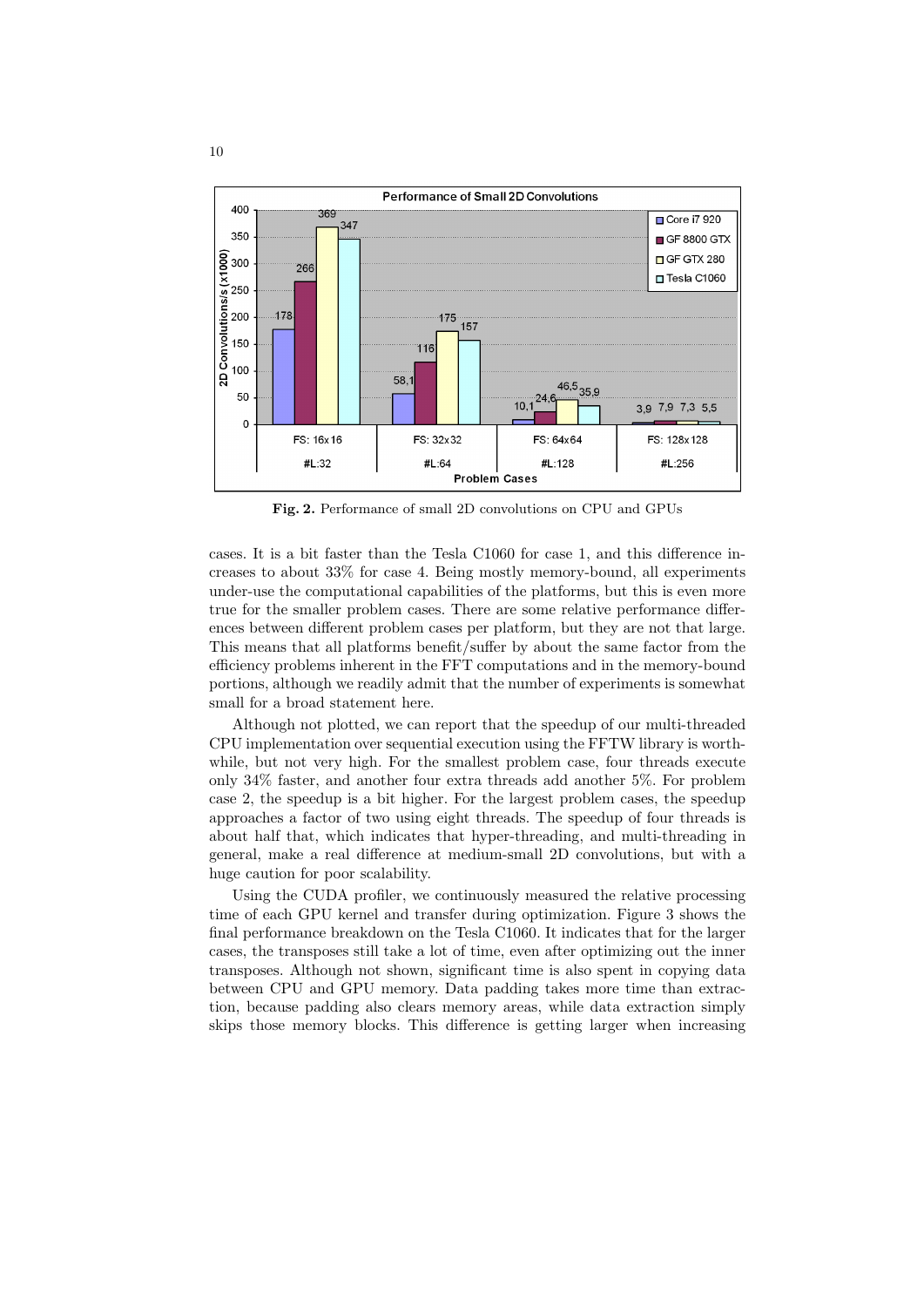

Fig. 2. Performance of small 2D convolutions on CPU and GPUs

cases. It is a bit faster than the Tesla C1060 for case 1, and this difference increases to about 33% for case 4. Being mostly memory-bound, all experiments under-use the computational capabilities of the platforms, but this is even more true for the smaller problem cases. There are some relative performance differences between different problem cases per platform, but they are not that large. This means that all platforms benefit/suffer by about the same factor from the efficiency problems inherent in the FFT computations and in the memory-bound portions, although we readily admit that the number of experiments is somewhat small for a broad statement here.

Although not plotted, we can report that the speedup of our multi-threaded CPU implementation over sequential execution using the FFTW library is worthwhile, but not very high. For the smallest problem case, four threads execute only 34% faster, and another four extra threads add another 5%. For problem case 2, the speedup is a bit higher. For the largest problem cases, the speedup approaches a factor of two using eight threads. The speedup of four threads is about half that, which indicates that hyper-threading, and multi-threading in general, make a real difference at medium-small 2D convolutions, but with a huge caution for poor scalability.

Using the CUDA profiler, we continuously measured the relative processing time of each GPU kernel and transfer during optimization. Figure 3 shows the final performance breakdown on the Tesla C1060. It indicates that for the larger cases, the transposes still take a lot of time, even after optimizing out the inner transposes. Although not shown, significant time is also spent in copying data between CPU and GPU memory. Data padding takes more time than extraction, because padding also clears memory areas, while data extraction simply skips those memory blocks. This difference is getting larger when increasing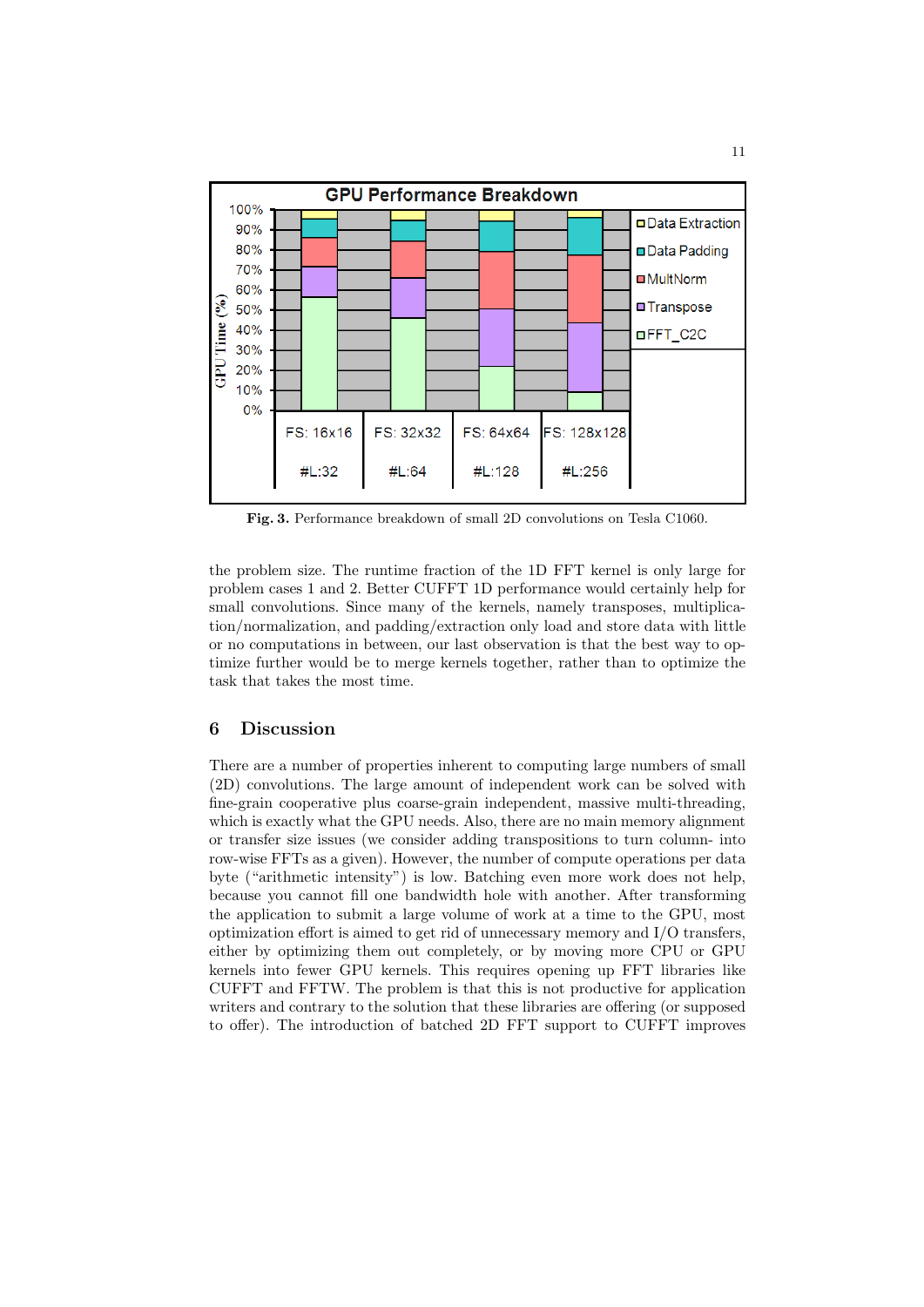

Fig. 3. Performance breakdown of small 2D convolutions on Tesla C1060.

the problem size. The runtime fraction of the 1D FFT kernel is only large for problem cases 1 and 2. Better CUFFT 1D performance would certainly help for small convolutions. Since many of the kernels, namely transposes, multiplication/normalization, and padding/extraction only load and store data with little or no computations in between, our last observation is that the best way to optimize further would be to merge kernels together, rather than to optimize the task that takes the most time.

# 6 Discussion

There are a number of properties inherent to computing large numbers of small (2D) convolutions. The large amount of independent work can be solved with fine-grain cooperative plus coarse-grain independent, massive multi-threading, which is exactly what the GPU needs. Also, there are no main memory alignment or transfer size issues (we consider adding transpositions to turn column- into row-wise FFTs as a given). However, the number of compute operations per data byte ("arithmetic intensity") is low. Batching even more work does not help, because you cannot fill one bandwidth hole with another. After transforming the application to submit a large volume of work at a time to the GPU, most optimization effort is aimed to get rid of unnecessary memory and I/O transfers, either by optimizing them out completely, or by moving more CPU or GPU kernels into fewer GPU kernels. This requires opening up FFT libraries like CUFFT and FFTW. The problem is that this is not productive for application writers and contrary to the solution that these libraries are offering (or supposed to offer). The introduction of batched 2D FFT support to CUFFT improves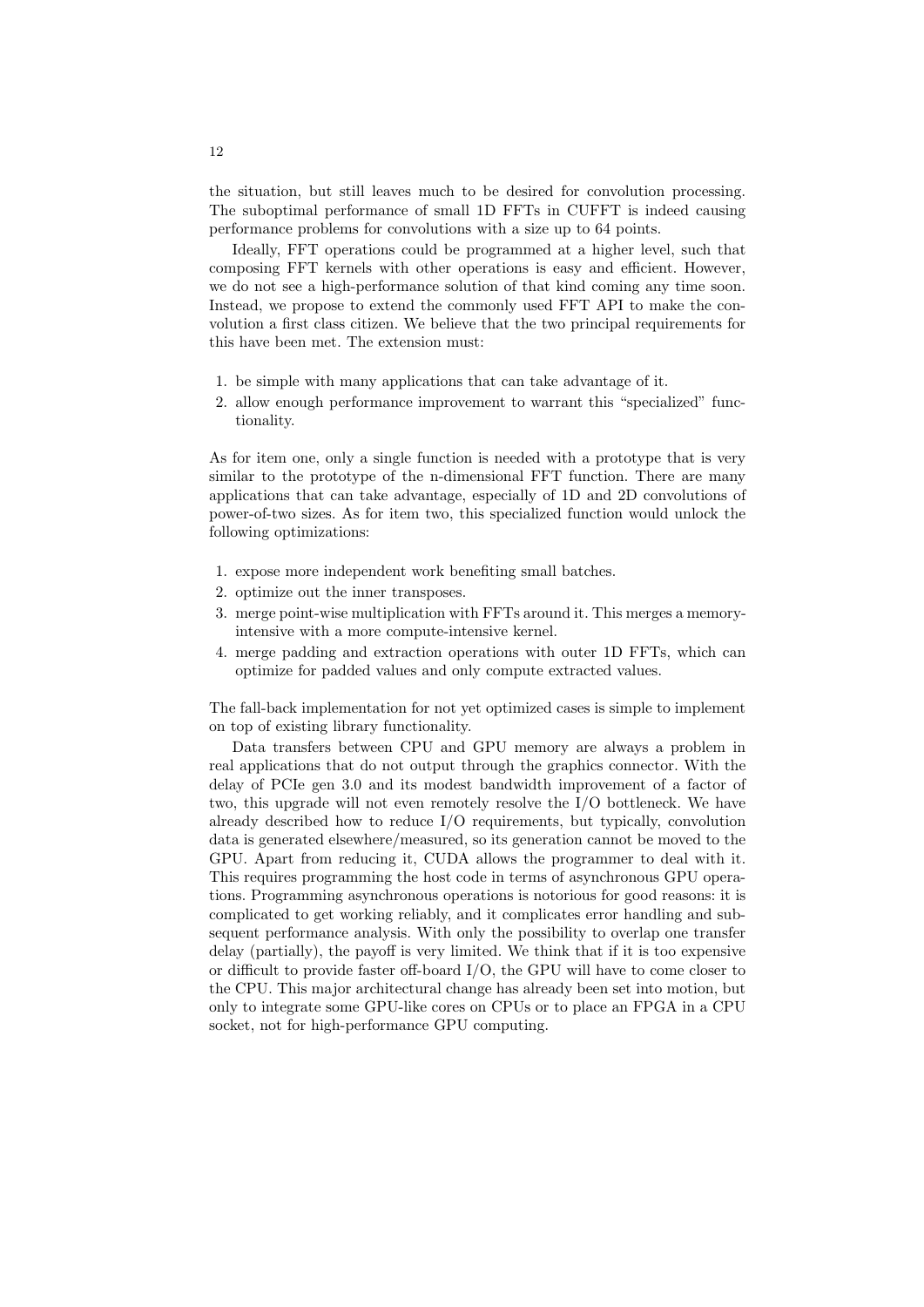the situation, but still leaves much to be desired for convolution processing. The suboptimal performance of small 1D FFTs in CUFFT is indeed causing performance problems for convolutions with a size up to 64 points.

Ideally, FFT operations could be programmed at a higher level, such that composing FFT kernels with other operations is easy and efficient. However, we do not see a high-performance solution of that kind coming any time soon. Instead, we propose to extend the commonly used FFT API to make the convolution a first class citizen. We believe that the two principal requirements for this have been met. The extension must:

- 1. be simple with many applications that can take advantage of it.
- 2. allow enough performance improvement to warrant this "specialized" functionality.

As for item one, only a single function is needed with a prototype that is very similar to the prototype of the n-dimensional FFT function. There are many applications that can take advantage, especially of 1D and 2D convolutions of power-of-two sizes. As for item two, this specialized function would unlock the following optimizations:

- 1. expose more independent work benefiting small batches.
- 2. optimize out the inner transposes.
- 3. merge point-wise multiplication with FFTs around it. This merges a memoryintensive with a more compute-intensive kernel.
- 4. merge padding and extraction operations with outer 1D FFTs, which can optimize for padded values and only compute extracted values.

The fall-back implementation for not yet optimized cases is simple to implement on top of existing library functionality.

Data transfers between CPU and GPU memory are always a problem in real applications that do not output through the graphics connector. With the delay of PCIe gen 3.0 and its modest bandwidth improvement of a factor of two, this upgrade will not even remotely resolve the I/O bottleneck. We have already described how to reduce I/O requirements, but typically, convolution data is generated elsewhere/measured, so its generation cannot be moved to the GPU. Apart from reducing it, CUDA allows the programmer to deal with it. This requires programming the host code in terms of asynchronous GPU operations. Programming asynchronous operations is notorious for good reasons: it is complicated to get working reliably, and it complicates error handling and subsequent performance analysis. With only the possibility to overlap one transfer delay (partially), the payoff is very limited. We think that if it is too expensive or difficult to provide faster off-board I/O, the GPU will have to come closer to the CPU. This major architectural change has already been set into motion, but only to integrate some GPU-like cores on CPUs or to place an FPGA in a CPU socket, not for high-performance GPU computing.

12